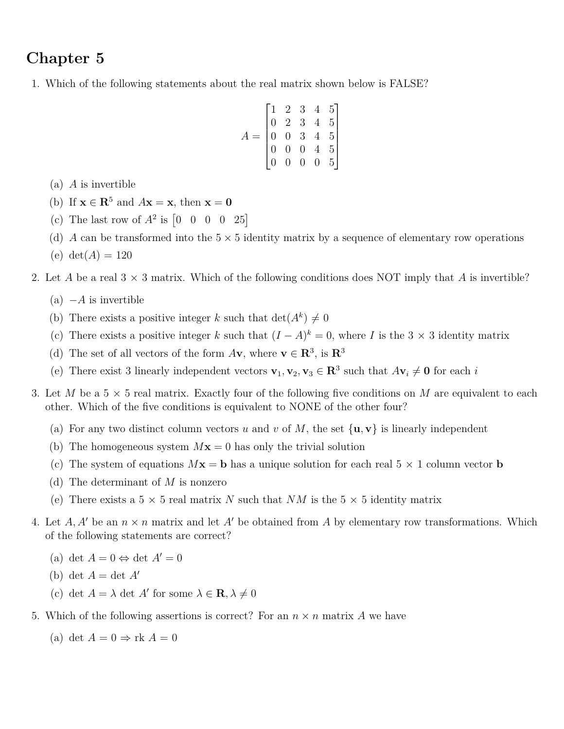# **Chapter 5**

1. Which of the following statements about the real matrix shown below is FALSE?

$$
A = \begin{bmatrix} 1 & 2 & 3 & 4 & 5 \\ 0 & 2 & 3 & 4 & 5 \\ 0 & 0 & 3 & 4 & 5 \\ 0 & 0 & 0 & 4 & 5 \\ 0 & 0 & 0 & 0 & 5 \end{bmatrix}
$$

- (a) *A* is invertible
- (b) If  $\mathbf{x} \in \mathbb{R}^5$  and  $A\mathbf{x} = \mathbf{x}$ , then  $\mathbf{x} = \mathbf{0}$
- (c) The last row of  $A^2$  is  $\begin{bmatrix} 0 & 0 & 0 & 0 & 25 \end{bmatrix}$
- (d) *A* can be transformed into the  $5 \times 5$  identity matrix by a sequence of elementary row operations
- (e)  $det(A) = 120$
- 2. Let *A* be a real  $3 \times 3$  matrix. Which of the following conditions does NOT imply that *A* is invertible?
	- $(a) -A$  is invertible
	- (b) There exists a positive integer k such that  $\det(A^k) \neq 0$
	- (c) There exists a positive integer *k* such that  $(I A)^k = 0$ , where *I* is the 3 × 3 identity matrix
	- (d) The set of all vectors of the form  $A$ **v**, where **v**  $\in \mathbb{R}^3$ , is  $\mathbb{R}^3$
	- (e) There exist 3 linearly independent vectors  $\mathbf{v}_1, \mathbf{v}_2, \mathbf{v}_3 \in \mathbb{R}^3$  such that  $A\mathbf{v}_i \neq \mathbf{0}$  for each *i*
- 3. Let *M* be a  $5 \times 5$  real matrix. Exactly four of the following five conditions on *M* are equivalent to each other. Which of the five conditions is equivalent to NONE of the other four?
	- (a) For any two distinct column vectors *u* and *v* of *M*, the set  $\{u, v\}$  is linearly independent
	- (b) The homogeneous system  $Mx = 0$  has only the trivial solution
	- (c) The system of equations  $M\mathbf{x} = \mathbf{b}$  has a unique solution for each real  $5 \times 1$  column vector **b**
	- (d) The determinant of *M* is nonzero
	- (e) There exists a  $5 \times 5$  real matrix *N* such that *NM* is the  $5 \times 5$  identity matrix
- 4. Let  $A, A'$  be an  $n \times n$  matrix and let  $A'$  be obtained from  $A$  by elementary row transformations. Which of the following statements are correct?
	- (a) det  $A = 0 \Leftrightarrow \det A' = 0$
	- (b) det  $A = \det A'$
	- (c) det  $A = \lambda$  det  $A'$  for some  $\lambda \in \mathbf{R}, \lambda \neq 0$
- 5. Which of the following assertions is correct? For an  $n \times n$  matrix A we have
	- (a) det  $A = 0 \Rightarrow$  rk  $A = 0$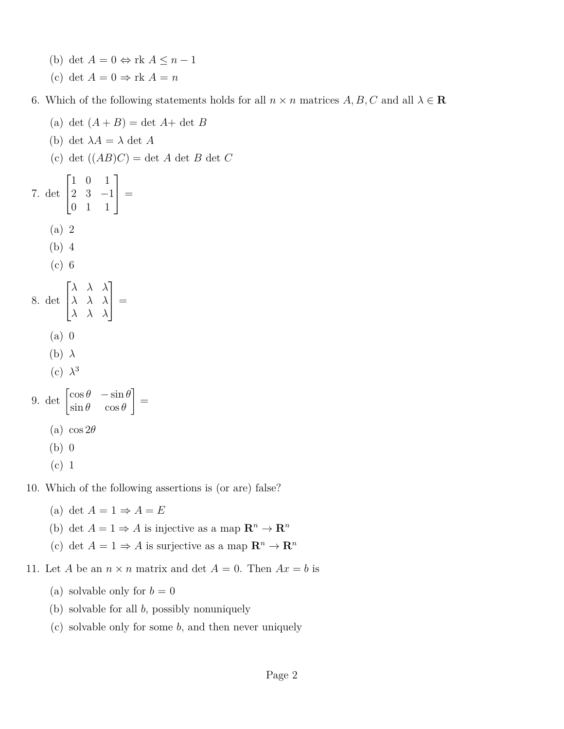- (b) det  $A = 0 \Leftrightarrow \text{rk } A \leq n 1$
- (c) det  $A = 0 \Rightarrow \text{rk } A = n$

6. Which of the following statements holds for all  $n \times n$  matrices  $A, B, C$  and all  $\lambda \in \mathbb{R}$ 

- (a) det  $(A + B) = \det A + \det B$ (b) det  $\lambda A = \lambda$  det A (c) det ((*AB*)*C*) = det *A* det *B* det *C* 7. det  $\lceil$  $\overline{1}$ 1 0 1 2 3 −1 0 1 1 1  $\Big| =$ (a) 2 (b) 4 (c) 6 8. det  $\sqrt{ }$  $\overline{1}$ *λ λ λ λ λ λ λ λ λ* 1  $\Big| =$ (a) 0 (b) *λ* (c)  $\lambda^3$ 9. det  $\begin{bmatrix} \cos \theta & -\sin \theta \\ \sin \theta & \cos \theta \end{bmatrix}$  $\sin \theta$   $\cos \theta$ 1 = (a)  $\cos 2\theta$ (b) 0 (c) 1 10. Which of the following assertions is (or are) false?
	- (a) det  $A = 1 \Rightarrow A = E$
	- (b) det  $A = 1 \Rightarrow A$  is injective as a map  $\mathbb{R}^n \to \mathbb{R}^n$
	- (c) det  $A = 1 \Rightarrow A$  is surjective as a map  $\mathbb{R}^n \to \mathbb{R}^n$
- 11. Let *A* be an  $n \times n$  matrix and det  $A = 0$ . Then  $Ax = b$  is
	- (a) solvable only for  $b = 0$
	- (b) solvable for all *b*, possibly nonuniquely
	- (c) solvable only for some *b*, and then never uniquely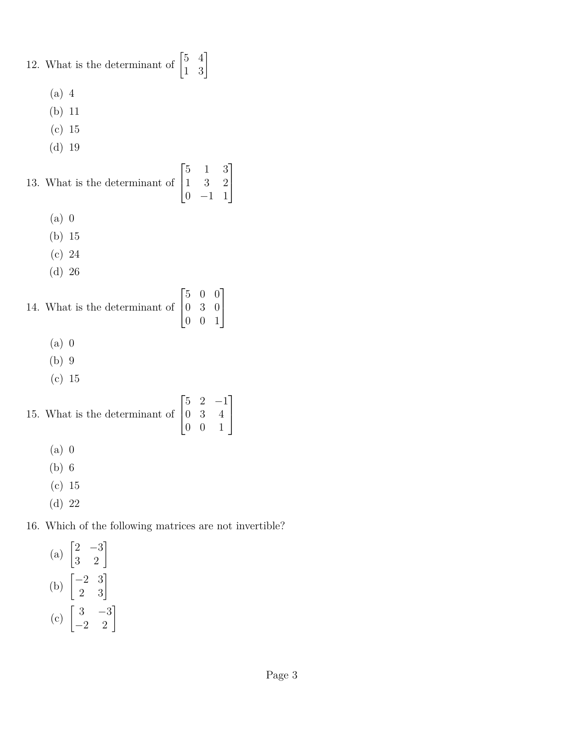12. What is the determinant of  $\begin{bmatrix} 5 & 4 \\ 1 & 3 \end{bmatrix}$ 

- (a) 4
- (b) 11
- (c) 15
- (d) 19

13. What is the determinant of 
$$
\begin{bmatrix} 5 & 1 & 3 \ 1 & 3 & 2 \ 0 & -1 & 1 \end{bmatrix}
$$

- (a) 0
- (b) 15
- (c) 24
- (d) 26

14. What is the determinant of 
$$
\begin{bmatrix} 5 & 0 & 0 \\ 0 & 3 & 0 \\ 0 & 0 & 1 \end{bmatrix}
$$

- (a) 0
- (b) 9
- (c) 15

15. What is the determinant of 
$$
\begin{bmatrix} 5 & 2 & -1 \\ 0 & 3 & 4 \\ 0 & 0 & 1 \end{bmatrix}
$$

- (a) 0
- (b) 6
- (c) 15
- (d) 22

# 16. Which of the following matrices are not invertible?

(a)  $\begin{bmatrix} 2 & -3 \\ 3 & 2 \end{bmatrix}$ (b)  $\begin{bmatrix} -2 & 3 \\ 2 & 3 \end{bmatrix}$ (c)  $\begin{bmatrix} 3 & -3 \\ -2 & 2 \end{bmatrix}$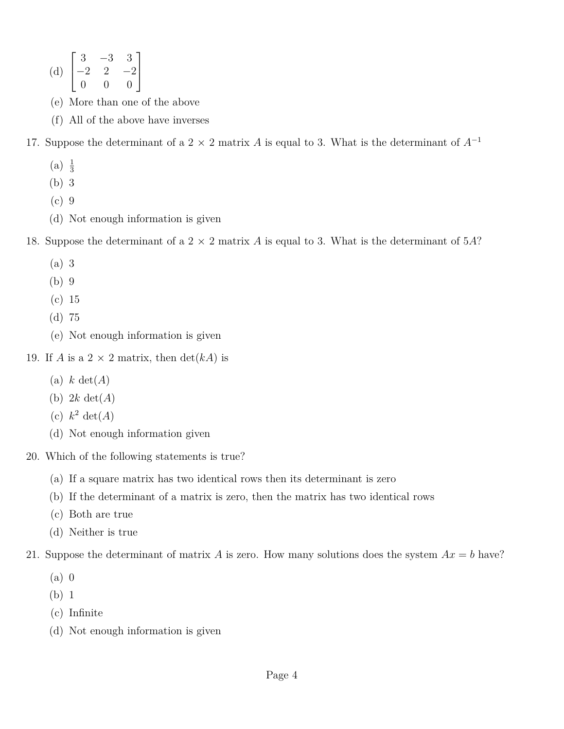(d) 
$$
\begin{bmatrix} 3 & -3 & 3 \ -2 & 2 & -2 \ 0 & 0 & 0 \end{bmatrix}
$$

- (e) More than one of the above
- (f) All of the above have inverses

17. Suppose the determinant of a 2  $\times$  2 matrix *A* is equal to 3. What is the determinant of  $A^{-1}$ 

- $(a) \frac{1}{3}$
- (b) 3
- (c) 9
- (d) Not enough information is given

18. Suppose the determinant of a 2 × 2 matrix *A* is equal to 3. What is the determinant of 5*A*?

- (a) 3
- (b) 9
- (c) 15
- (d) 75
- (e) Not enough information is given
- 19. If *A* is a 2  $\times$  2 matrix, then  $\det(kA)$  is
	- (a) *k* det(*A*)
	- (b) 2*k* det(*A*)
	- (c)  $k^2 \det(A)$
	- (d) Not enough information given
- 20. Which of the following statements is true?
	- (a) If a square matrix has two identical rows then its determinant is zero
	- (b) If the determinant of a matrix is zero, then the matrix has two identical rows
	- (c) Both are true
	- (d) Neither is true
- 21. Suppose the determinant of matrix *A* is zero. How many solutions does the system  $Ax = b$  have?
	- (a) 0
	- (b) 1
	- (c) Infinite
	- (d) Not enough information is given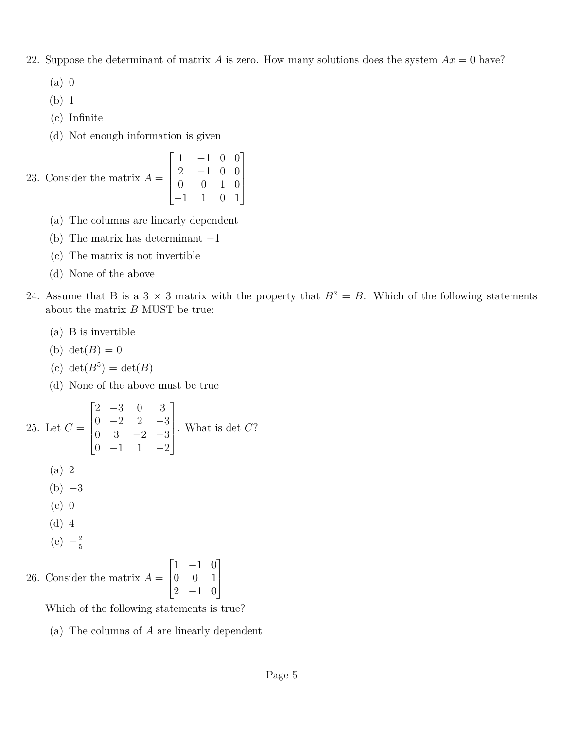- 22. Suppose the determinant of matrix *A* is zero. How many solutions does the system  $Ax = 0$  have?
	- (a) 0
	- (b) 1
	- (c) Infinite
	- (d) Not enough information is given

23. Consider the matrix 
$$
A = \begin{bmatrix} 1 & -1 & 0 & 0 \\ 2 & -1 & 0 & 0 \\ 0 & 0 & 1 & 0 \\ -1 & 1 & 0 & 1 \end{bmatrix}
$$

- (a) The columns are linearly dependent
- (b) The matrix has determinant  $-1$
- (c) The matrix is not invertible
- (d) None of the above
- 24. Assume that B is a 3  $\times$  3 matrix with the property that  $B^2 = B$ . Which of the following statements about the matrix *B* MUST be true:
	- (a) B is invertible
	- (b)  $\det(B) = 0$
	- (c)  $\det(B^5) = \det(B)$
	- (d) None of the above must be true

25. Let 
$$
C = \begin{bmatrix} 2 & -3 & 0 & 3 \\ 0 & -2 & 2 & -3 \\ 0 & 3 & -2 & -3 \\ 0 & -1 & 1 & -2 \end{bmatrix}
$$
. What is det C?  
\n(a) 2  
\n(b) -3  
\n(c) 0  
\n(d) 4  
\n(e)  $-\frac{2}{5}$ 

26. Consider the matrix  $A =$  $\sqrt{ }$  $\overline{1}$ 1 −1 0 0 0 1 2 −1 0 1  $\overline{1}$ 

Which of the following statements is true?

(a) The columns of *A* are linearly dependent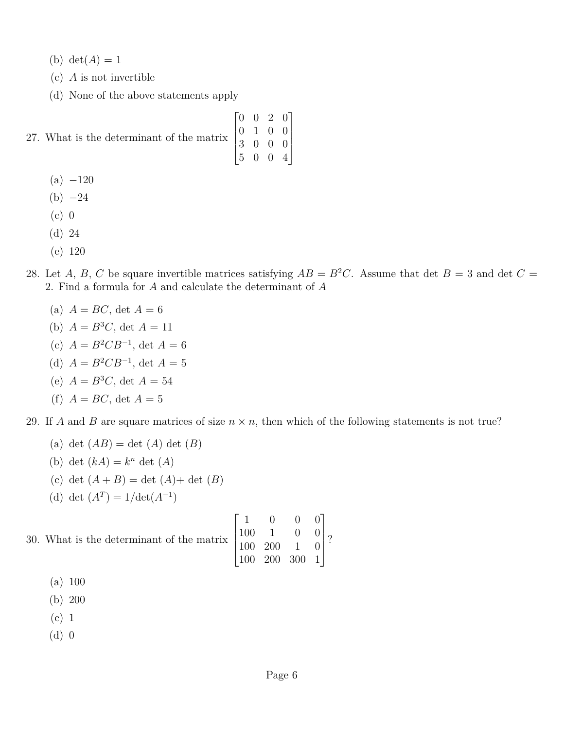(b)  $det(A) = 1$ 

- (c) *A* is not invertible
- (d) None of the above statements apply

27. What is the determinant of the matrix

- $(a) -120$
- $(b) -24$
- (c) 0
- (d) 24
- (e) 120
- 28. Let *A*, *B*, *C* be square invertible matrices satisfying  $AB = B^2C$ . Assume that det  $B = 3$  and det  $C =$ 2. Find a formula for *A* and calculate the determinant of *A*

 $\sqrt{ }$ 

1

 $\overline{\phantom{a}}$ 

 $\Bigg\}$ 

- (a)  $A = BC$ , det  $A = 6$
- (b)  $A = B^3C$ , det  $A = 11$
- (c)  $A = B^2 C B^{-1}$ , det  $A = 6$
- (d)  $A = B^2 C B^{-1}$ , det  $A = 5$
- (e)  $A = B^3C$ , det  $A = 54$
- (f)  $A = BC$ , det  $A = 5$

29. If *A* and *B* are square matrices of size  $n \times n$ , then which of the following statements is not true?

- (a) det  $(AB) = \det (A) \det (B)$
- (b) det  $(kA) = k^n$  det  $(A)$
- (c) det  $(A + B) = \det (A) + \det (B)$
- (d) det  $(A^T) = 1/\text{det}(A^{-1})$

|  | 30. What is the determinant of the matrix $\begin{bmatrix} 1 & 0 & 0 & 0 \\ 100 & 1 & 0 & 0 \\ 100 & 200 & 1 & 0 \\ 100 & 200 & 300 & 1 \end{bmatrix}$ ? |  |  |  |
|--|----------------------------------------------------------------------------------------------------------------------------------------------------------|--|--|--|
|  |                                                                                                                                                          |  |  |  |
|  |                                                                                                                                                          |  |  |  |

- (a) 100
- (b) 200
- (c) 1
- (d) 0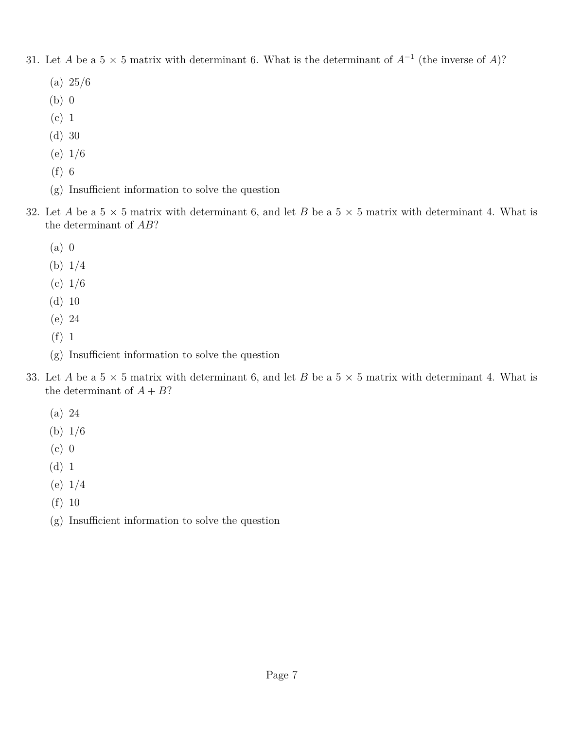- 31. Let *A* be a 5  $\times$  5 matrix with determinant 6. What is the determinant of  $A^{-1}$  (the inverse of *A*)?
	- (a) 25/6
	- (b) 0
	- (c) 1
	- (d) 30
	- (e) 1/6
	- (f) 6
	- (g) Insufficient information to solve the question
- 32. Let *A* be a  $5 \times 5$  matrix with determinant 6, and let *B* be a  $5 \times 5$  matrix with determinant 4. What is the determinant of *AB*?
	- (a) 0
	- (b) 1/4
	- $(c) 1/6$
	- (d) 10
	- (e) 24
	- (f) 1
	- (g) Insufficient information to solve the question
- 33. Let *A* be a  $5 \times 5$  matrix with determinant 6, and let *B* be a  $5 \times 5$  matrix with determinant 4. What is the determinant of  $A + B$ ?
	- (a) 24
	- (b) 1/6
	- (c) 0
	- (d) 1
	- (e) 1/4
	- (f) 10
	- (g) Insufficient information to solve the question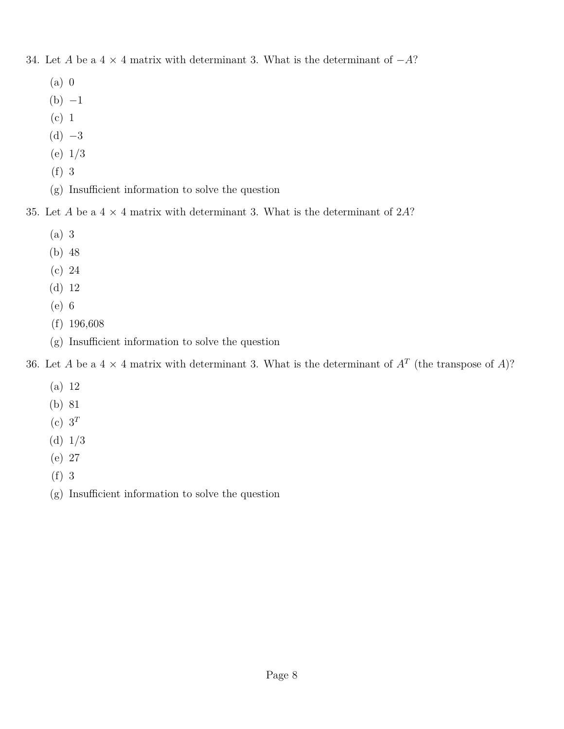- 34. Let *A* be a 4 × 4 matrix with determinant 3. What is the determinant of −*A*?
	- (a) 0
	- $(b) -1$
	- (c) 1
	- $(d) -3$
	- (e) 1/3
	- (f) 3
	- (g) Insufficient information to solve the question
- 35. Let *A* be a 4 × 4 matrix with determinant 3. What is the determinant of 2*A*?
	- (a) 3
	- (b) 48
	- (c) 24
	- (d) 12
	- (e) 6
	- (f) 196,608
	- (g) Insufficient information to solve the question
- 36. Let *A* be a  $4 \times 4$  matrix with determinant 3. What is the determinant of  $A<sup>T</sup>$  (the transpose of *A*)?
	- (a) 12
	- (b) 81
	- (c)  $3^T$
	- (d) 1/3
	- (e) 27
	- (f) 3
	- (g) Insufficient information to solve the question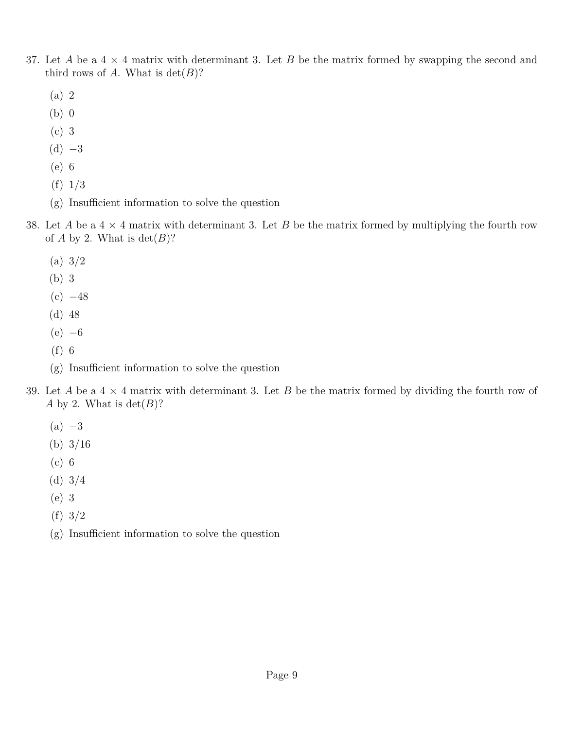- 37. Let *A* be a  $4 \times 4$  matrix with determinant 3. Let *B* be the matrix formed by swapping the second and third rows of *A*. What is  $det(B)$ ?
	- (a) 2
	- (b) 0
	- (c) 3
	- $(d) -3$
	- (e) 6
	- (f) 1/3
	- (g) Insufficient information to solve the question
- 38. Let *A* be a 4 × 4 matrix with determinant 3. Let *B* be the matrix formed by multiplying the fourth row of *A* by 2. What is  $det(B)$ ?
	- (a) 3/2
	- (b) 3
	- $(c) -48$
	- (d) 48
	- $(e) -6$
	- (f) 6
	- (g) Insufficient information to solve the question
- 39. Let *A* be a 4 × 4 matrix with determinant 3. Let *B* be the matrix formed by dividing the fourth row of *A* by 2. What is  $det(B)$ ?
	- $(a) -3$
	- (b) 3/16
	- (c) 6
	- (d) 3/4
	- (e) 3
	- (f) 3/2
	- (g) Insufficient information to solve the question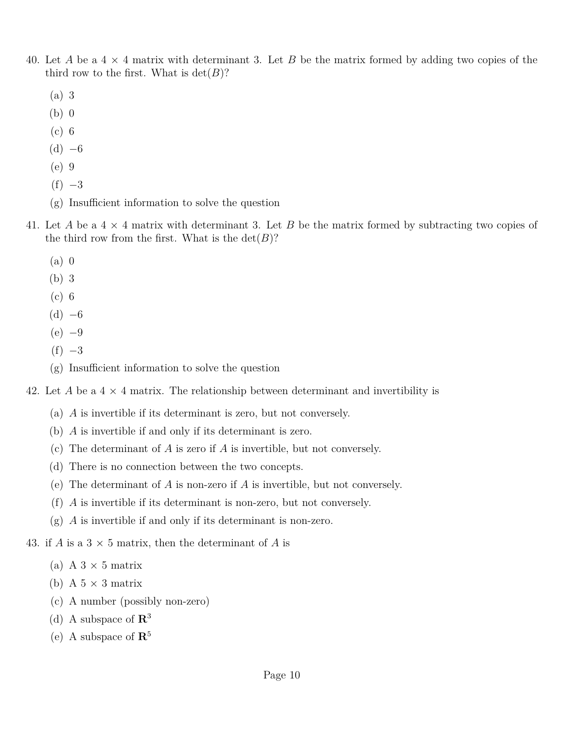- 40. Let *A* be a 4 × 4 matrix with determinant 3. Let *B* be the matrix formed by adding two copies of the third row to the first. What is  $\det(B)$ ?
	- (a) 3
	- (b) 0
	- (c) 6
	- $(d) -6$
	- (e) 9
	- $(f) -3$
	- (g) Insufficient information to solve the question
- 41. Let *A* be a 4 × 4 matrix with determinant 3. Let *B* be the matrix formed by subtracting two copies of the third row from the first. What is the  $\det(B)$ ?
	- (a) 0
	- (b) 3
	- (c) 6
	- $(d) -6$
	- $(e) -9$
	- $(f) -3$
	- (g) Insufficient information to solve the question
- 42. Let A be a  $4 \times 4$  matrix. The relationship between determinant and invertibility is
	- (a) *A* is invertible if its determinant is zero, but not conversely.
	- (b) *A* is invertible if and only if its determinant is zero.
	- (c) The determinant of *A* is zero if *A* is invertible, but not conversely.
	- (d) There is no connection between the two concepts.
	- (e) The determinant of *A* is non-zero if *A* is invertible, but not conversely.
	- (f) *A* is invertible if its determinant is non-zero, but not conversely.
	- (g) *A* is invertible if and only if its determinant is non-zero.

43. if *A* is a  $3 \times 5$  matrix, then the determinant of *A* is

- (a) A  $3 \times 5$  matrix
- (b) A  $5 \times 3$  matrix
- (c) A number (possibly non-zero)
- (d) A subspace of **R**<sup>3</sup>
- (e) A subspace of **R**<sup>5</sup>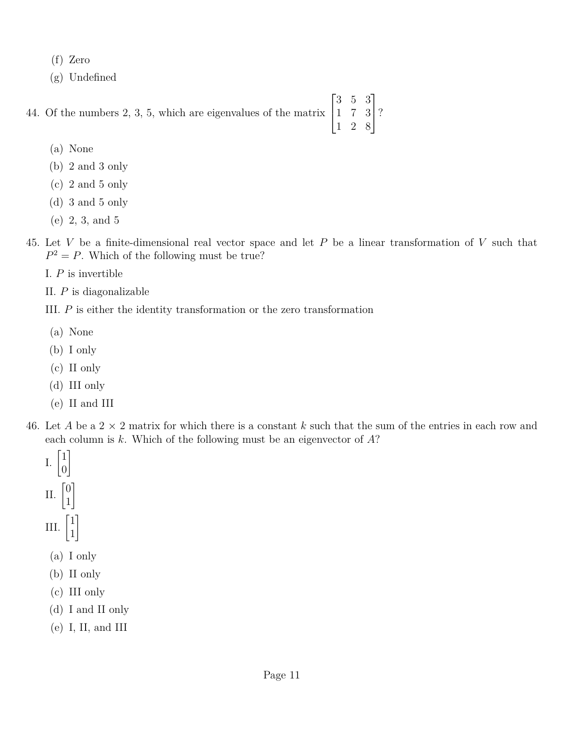- (f) Zero
- (g) Undefined

44. Of the numbers 2, 3, 5, which are eigenvalues of the matrix  $\sqrt{ }$  $\overline{1}$ 3 5 3 1 7 3 1  $\mid$ ?

- (a) None
- (b) 2 and 3 only
- (c) 2 and 5 only
- (d) 3 and 5 only
- (e) 2, 3, and 5
- 45. Let *V* be a finite-dimensional real vector space and let *P* be a linear transformation of *V* such that  $P^2 = P$ . Which of the following must be true?

1 2 8

- I. *P* is invertible
- II. *P* is diagonalizable
- III. *P* is either the identity transformation or the zero transformation
- (a) None
- (b) I only
- (c) II only
- (d) III only
- (e) II and III
- 46. Let *A* be a 2 × 2 matrix for which there is a constant *k* such that the sum of the entries in each row and each column is *k*. Which of the following must be an eigenvector of *A*?
	- I.  $\begin{bmatrix} 1 \\ 0 \end{bmatrix}$ 0 1 II.  $\begin{bmatrix} 0 \\ 1 \end{bmatrix}$ 1 1 III.  $\begin{bmatrix} 1 \\ 1 \end{bmatrix}$ 1 1
	- (a) I only
	- (b) II only
	- (c) III only
	- (d) I and II only
	- (e) I, II, and III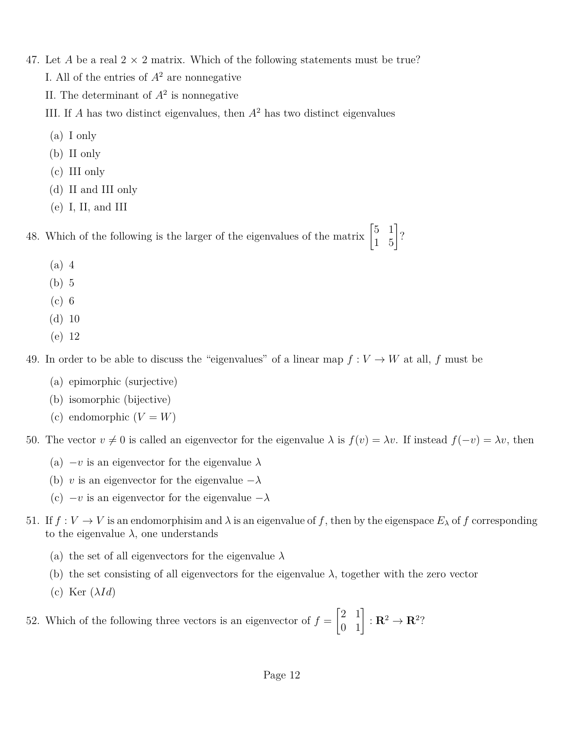- 47. Let *A* be a real  $2 \times 2$  matrix. Which of the following statements must be true? I. All of the entries of  $A^2$  are nonnegative II. The determinant of  $A^2$  is nonnegative
	- III. If *A* has two distinct eigenvalues, then *A*<sup>2</sup> has two distinct eigenvalues
	- (a) I only
	- (b) II only
	- (c) III only
	- (d) II and III only
	- (e) I, II, and III

48. Which of the following is the larger of the eigenvalues of the matrix  $\begin{bmatrix} 5 & 1 \\ 1 & 5 \end{bmatrix}$ ?

- (a) 4
- (b) 5
- (c) 6
- (d) 10
- (e) 12

49. In order to be able to discuss the "eigenvalues" of a linear map  $f: V \to W$  at all, *f* must be

- (a) epimorphic (surjective)
- (b) isomorphic (bijective)
- (c) endomorphic  $(V = W)$

50. The vector  $v \neq 0$  is called an eigenvector for the eigenvalue  $\lambda$  is  $f(v) = \lambda v$ . If instead  $f(-v) = \lambda v$ , then

- (a)  $-v$  is an eigenvector for the eigenvalue  $\lambda$
- (b) *v* is an eigenvector for the eigenvalue  $-\lambda$
- (c) −*v* is an eigenvector for the eigenvalue −*λ*
- 51. If  $f: V \to V$  is an endomorphisim and  $\lambda$  is an eigenvalue of f, then by the eigenspace  $E_\lambda$  of f corresponding to the eigenvalue  $\lambda$ , one understands
	- (a) the set of all eigenvectors for the eigenvalue *λ*
	- (b) the set consisting of all eigenvectors for the eigenvalue  $\lambda$ , together with the zero vector
	- (c) Ker (*λId*)

52. Which of the following three vectors is an eigenvector of  $f =$  $\begin{bmatrix} 2 & 1 \\ 0 & 1 \end{bmatrix} : \mathbf{R}^2 \to \mathbf{R}^2?$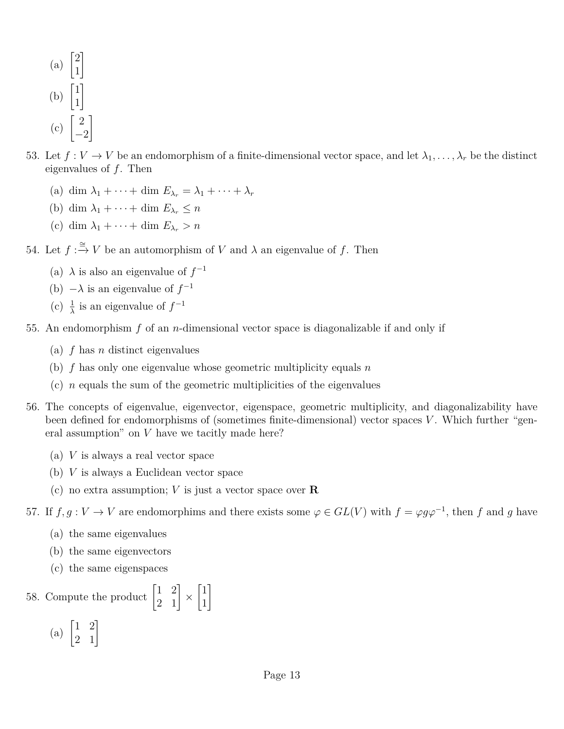- (a)  $\begin{bmatrix} 2 \\ 1 \end{bmatrix}$ 1 1 (b)  $\begin{bmatrix} 1 \\ 1 \end{bmatrix}$ 1 1  $(c)$   $\begin{bmatrix} 2 \end{bmatrix}$  $-2$ 1
- 53. Let  $f: V \to V$  be an endomorphism of a finite-dimensional vector space, and let  $\lambda_1, \ldots, \lambda_r$  be the distinct eigenvalues of *f*. Then
	- (a) dim  $\lambda_1 + \cdots + \dim E_{\lambda_r} = \lambda_1 + \cdots + \lambda_r$
	- (b) dim  $\lambda_1 + \cdots + \dim E_{\lambda_r} \leq n$
	- (c) dim  $\lambda_1 + \cdots + \dim E_{\lambda_r} > n$

54. Let  $f: \xrightarrow{\cong} V$  be an automorphism of *V* and  $\lambda$  an eigenvalue of *f*. Then

- (a)  $\lambda$  is also an eigenvalue of  $f^{-1}$
- (b)  $-\lambda$  is an eigenvalue of  $f^{-1}$
- (c)  $\frac{1}{\lambda}$  is an eigenvalue of  $f^{-1}$
- 55. An endomorphism *f* of an *n*-dimensional vector space is diagonalizable if and only if
	- (a) *f* has *n* distinct eigenvalues
	- (b) *f* has only one eigenvalue whose geometric multiplicity equals *n*
	- (c) *n* equals the sum of the geometric multiplicities of the eigenvalues
- 56. The concepts of eigenvalue, eigenvector, eigenspace, geometric multiplicity, and diagonalizability have been defined for endomorphisms of (sometimes finite-dimensional) vector spaces *V*. Which further "general assumption" on *V* have we tacitly made here?
	- (a) *V* is always a real vector space
	- (b) *V* is always a Euclidean vector space
	- (c) no extra assumption; *V* is just a vector space over **R**

57. If  $f, g: V \to V$  are endomorphims and there exists some  $\varphi \in GL(V)$  with  $f = \varphi g \varphi^{-1}$ , then f and g have

- (a) the same eigenvalues
- (b) the same eigenvectors
- (c) the same eigenspaces

58. Compute the product  $\begin{bmatrix} 1 & 2 \\ 2 & 1 \end{bmatrix} \times$  $\lceil 1 \rceil$ 1 1

(a)  $\begin{bmatrix} 1 & 2 \\ 2 & 1 \end{bmatrix}$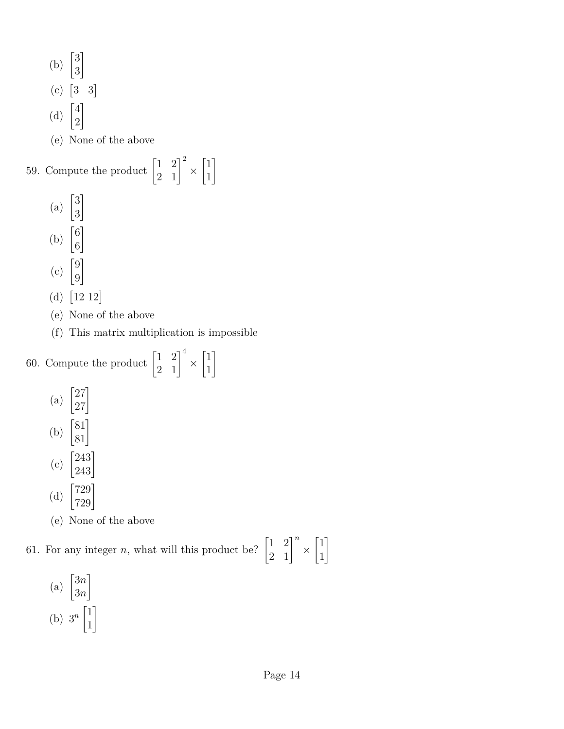(b) 
$$
\begin{bmatrix} 3 \\ 3 \end{bmatrix}
$$
  
\n(c)  $\begin{bmatrix} 3 & 3 \end{bmatrix}$   
\n(d)  $\begin{bmatrix} 4 \\ 2 \end{bmatrix}$   
\n(e) None of the above  
\n59. Compute the product  $\begin{bmatrix} 1 & 2 \\ 2 & 1 \end{bmatrix}^2 \times$   
\n(a)  $\begin{bmatrix} 3 \\ 3 \end{bmatrix}$   
\n(b)  $\begin{bmatrix} 6 \\ 6 \end{bmatrix}$   
\n(c)  $\begin{bmatrix} 9 \\ 9 \end{bmatrix}$   
\n(d)  $\begin{bmatrix} 12 & 12 \end{bmatrix}$   
\n(e) None of the above

(f) This matrix multiplication is impossible

 $\lceil 1 \rceil$ 1 1

1

60. Compute the product  $\begin{bmatrix} 1 & 2 \\ 2 & 1 \end{bmatrix}^4$  ×  $\lceil 1 \rceil$ 1 (a)  $\begin{bmatrix} 27 \\ 27 \end{bmatrix}$ (b)  $\begin{bmatrix} 81 \\ 81 \end{bmatrix}$ (c)  $\begin{bmatrix} 243 \\ 243 \end{bmatrix}$ 

- (d)  $\begin{bmatrix} 729 \\ 729 \end{bmatrix}$
- (e) None of the above

61. For any integer *n*, what will this product be?  $\begin{bmatrix} 1 & 2 \\ 2 & 1 \end{bmatrix}^n \times$  $\lceil 1 \rceil$ 1 1

 $\binom{a}{a}$   $\binom{3n}{2a}$ 3*n* 1 (b)  $3^n \begin{bmatrix} 1 \\ 1 \end{bmatrix}$ 1 1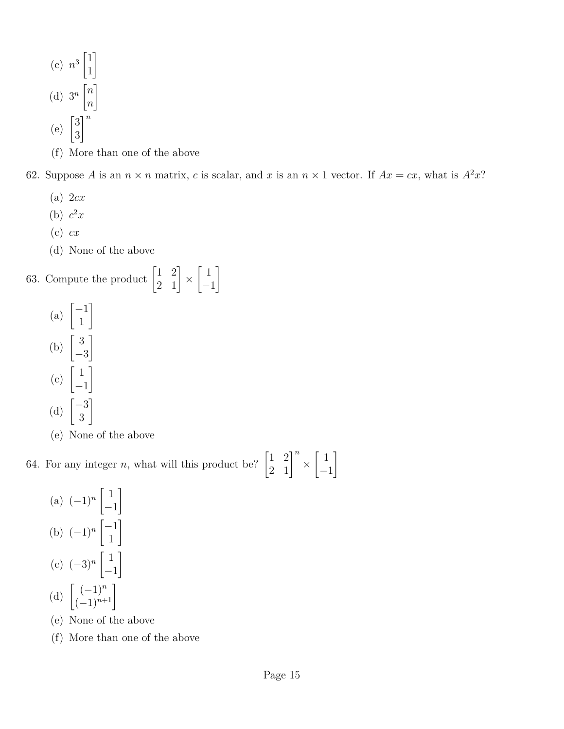- (c)  $n^3 \begin{bmatrix} 1 \\ 1 \end{bmatrix}$ 1 1 (d)  $3^n \begin{bmatrix} n \\ n \end{bmatrix}$ *n* 1  $(e)$   $\begin{bmatrix} 3 \\ 2 \end{bmatrix}$ 3 *n*
- (f) More than one of the above

62. Suppose *A* is an  $n \times n$  matrix, *c* is scalar, and *x* is an  $n \times 1$  vector. If  $Ax = cx$ , what is  $A^2x$ ?

- (a) 2*cx*
- (b)  $c^2x$
- (c) *cx*
- (d) None of the above

63. Compute the product  $\begin{bmatrix} 1 & 2 \\ 2 & 1 \end{bmatrix} \times$  $\lceil 1 \rceil$ −1 1

- $(a) \begin{bmatrix} -1 \\ 1 \end{bmatrix}$ 1 1 (b)  $\begin{bmatrix} 3 \end{bmatrix}$ −3 1  $(c)$   $\begin{bmatrix} 1 \end{bmatrix}$ −1 1 (d)  $\begin{bmatrix} -3 \\ 2 \end{bmatrix}$ 3 1
- (e) None of the above

64. For any integer *n*, what will this product be?  $\begin{bmatrix} 1 & 2 \\ 2 & 1 \end{bmatrix}^n \times$  $\lceil 1 \rceil$ −1 1

- $(a)$   $(-1)^n$ <sup>[1</sup>] −1 1 (b)  $(-1)^n \begin{bmatrix} -1 \\ 1 \end{bmatrix}$ 1 1  $(c) (-3)^n \left[ \begin{array}{c} 1 \\ 1 \end{array} \right]$ −1 1 (d)  $\begin{bmatrix} (-1)^n \\ (-1)^{n+1} \end{bmatrix}$
- (e) None of the above
- (f) More than one of the above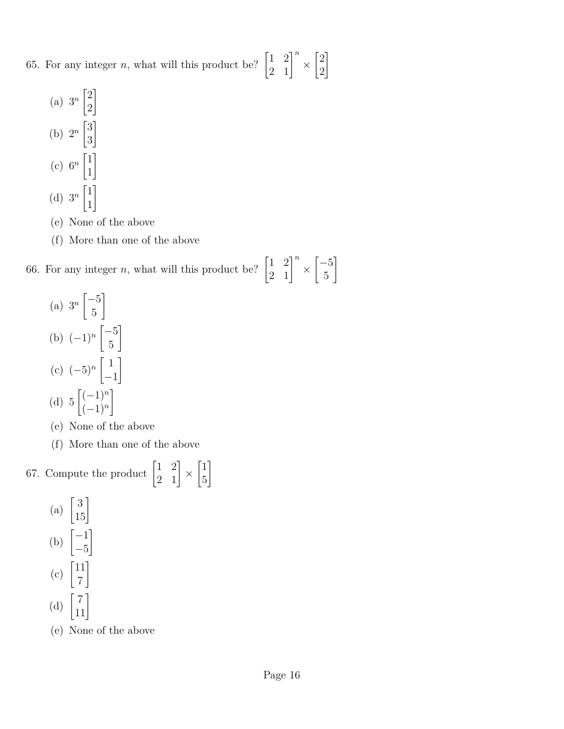65. For any integer *n*, what will this product be?  $\begin{bmatrix} 1 & 2 \\ 2 & 1 \end{bmatrix}^n \times$  $\lceil 2 \rceil$ 2 1

- (a)  $3^n \begin{bmatrix} 2 \\ 2 \end{bmatrix}$ 2 1 (b)  $2^n \begin{bmatrix} 3 \\ 2 \end{bmatrix}$ 3 1 (c)  $6^n \begin{bmatrix} 1 \\ 1 \end{bmatrix}$ 1 1 (d)  $3^n \begin{bmatrix} 1 \\ 1 \end{bmatrix}$ 1 1
- (e) None of the above
- (f) More than one of the above

66. For any integer *n*, what will this product be?  $\begin{bmatrix} 1 & 2 \\ 2 & 1 \end{bmatrix}^n \times$  $\lceil -5 \rceil$ 5 1

- $\binom{a}{a}$   $3^n \begin{bmatrix} -5 \\ 5 \end{bmatrix}$ 5 1 (b)  $(-1)^n \begin{bmatrix} -5 \\ 5 \end{bmatrix}$ 5 1  $(c) (-5)^n$ <sup>[1</sup>] −1 1 (d)  $5 \binom{(-1)^n}{(-1)^n}$ (−1)*<sup>n</sup>* 1
- (e) None of the above
- (f) More than one of the above
- 67. Compute the product  $\begin{bmatrix} 1 & 2 \\ 2 & 1 \end{bmatrix} \times$  $\lceil 1 \rceil$ 5 1
	- (a)  $\begin{bmatrix} 3 \\ 15 \end{bmatrix}$  $(b)$   $\begin{bmatrix} -1 \\ 1 \end{bmatrix}$ −5 1  $(c)$   $\begin{bmatrix} 11 \\ -1 \end{bmatrix}$ 7 1 (d)  $\begin{bmatrix} 7 \\ 11 \end{bmatrix}$
	- (e) None of the above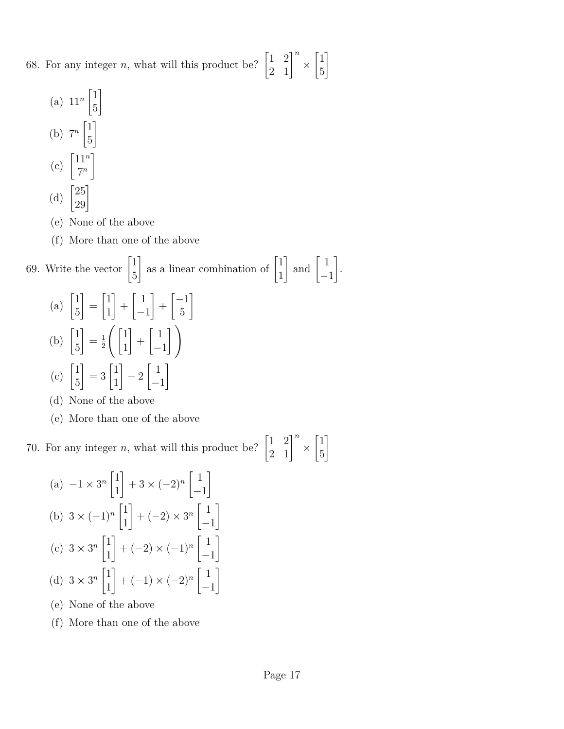68. For any integer *n*, what will this product be?  $\begin{bmatrix} 1 & 2 \\ 2 & 1 \end{bmatrix}^n \times$  $\lceil 1 \rceil$ 5 1

- (a)  $11^n \begin{bmatrix} 1 \\ 1 \end{bmatrix}$ 5 1 (b)  $7^n \begin{bmatrix} 1 \\ 1 \end{bmatrix}$ 5 1  $(c)$   $\left[\frac{11^n}{7^n}\right]$ 7 *n* 1 (d)  $\begin{bmatrix} 25 \\ 29 \end{bmatrix}$
- (e) None of the above
- (f) More than one of the above

69. Write the vector 
$$
\begin{bmatrix} 1 \\ 5 \end{bmatrix}
$$
 as a linear combination of  $\begin{bmatrix} 1 \\ 1 \end{bmatrix}$  and  $\begin{bmatrix} 1 \\ -1 \end{bmatrix}$ .  
\n(a)  $\begin{bmatrix} 1 \\ 5 \end{bmatrix} = \begin{bmatrix} 1 \\ 1 \end{bmatrix} + \begin{bmatrix} 1 \\ -1 \end{bmatrix} + \begin{bmatrix} -1 \\ 5 \end{bmatrix}$   
\n(b)  $\begin{bmatrix} 1 \\ 5 \end{bmatrix} = \frac{1}{2} \left( \begin{bmatrix} 1 \\ 1 \end{bmatrix} + \begin{bmatrix} 1 \\ -1 \end{bmatrix} \right)$   
\n(c)  $\begin{bmatrix} 1 \\ 5 \end{bmatrix} = 3 \begin{bmatrix} 1 \\ 1 \end{bmatrix} - 2 \begin{bmatrix} 1 \\ -1 \end{bmatrix}$ 

(d) None of the above

(e) More than one of the above

70. For any integer *n*, what will this product be?  $\begin{bmatrix} 1 & 2 \\ 2 & 1 \end{bmatrix}^n \times$  $\lceil 1 \rceil$ 5 1

(a) 
$$
-1 \times 3^n \begin{bmatrix} 1 \\ 1 \end{bmatrix} + 3 \times (-2)^n \begin{bmatrix} 1 \\ -1 \end{bmatrix}
$$
  
\n(b)  $3 \times (-1)^n \begin{bmatrix} 1 \\ 1 \end{bmatrix} + (-2) \times 3^n \begin{bmatrix} 1 \\ -1 \end{bmatrix}$   
\n(c)  $3 \times 3^n \begin{bmatrix} 1 \\ 1 \end{bmatrix} + (-2) \times (-1)^n \begin{bmatrix} 1 \\ -1 \end{bmatrix}$   
\n(d)  $3 \times 3^n \begin{bmatrix} 1 \\ 1 \end{bmatrix} + (-1) \times (-2)^n \begin{bmatrix} 1 \\ -1 \end{bmatrix}$ 

- (e) None of the above
- (f) More than one of the above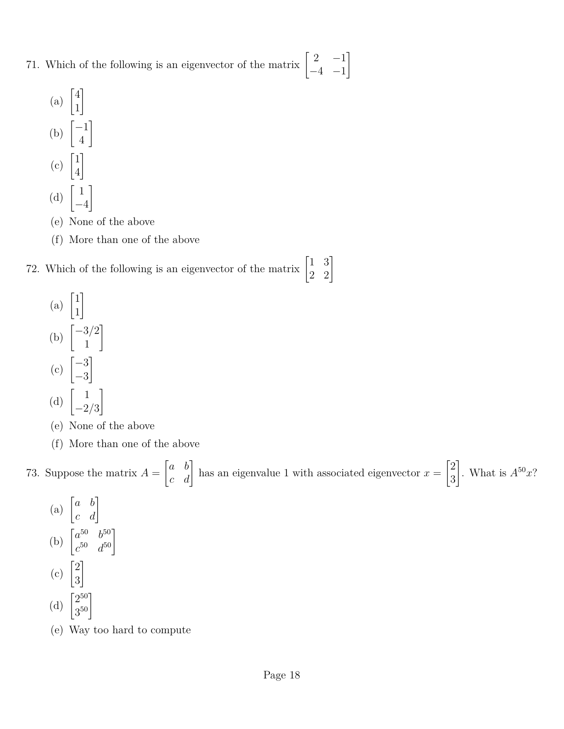- 71. Which of the following is an eigenvector of the matrix  $\begin{bmatrix} 2 & -1 \\ 4 & 1 \end{bmatrix}$  $-4$   $-1$ 1
	- (a)  $\begin{bmatrix} 4 \\ 1 \end{bmatrix}$ 1 1 (b)  $\begin{bmatrix} -1 \\ 4 \end{bmatrix}$ 4 1  $(c)$   $\begin{bmatrix} 1 \\ 4 \end{bmatrix}$ 4 1 (d)  $\begin{bmatrix} 1 \end{bmatrix}$ −4 1
	- (e) None of the above
	- (f) More than one of the above
- 72. Which of the following is an eigenvector of the matrix  $\begin{bmatrix} 1 & 3 \\ 2 & 2 \end{bmatrix}$ 
	- (a)  $\begin{bmatrix} 1 \\ 1 \end{bmatrix}$ 1 1 (b)  $\begin{bmatrix} -3/2 \\ 1 \end{bmatrix}$ 1 1  $\binom{c}{c}$   $\begin{bmatrix} -3 \\ 2 \end{bmatrix}$ −3 1 (d)  $\begin{bmatrix} 1 \\ 0 \end{bmatrix}$ −2*/*3 1
	- (e) None of the above
	- (f) More than one of the above

73. Suppose the matrix  $A =$  $\begin{bmatrix} a & b \\ c & d \end{bmatrix}$  has an eigenvalue 1 with associated eigenvector  $x =$  $\lceil 2 \rceil$ 3 . What is  $A^{50}x$ ?

- (a)  $\begin{bmatrix} a & b \\ c & d \end{bmatrix}$ (b)  $\begin{bmatrix} a^{50} & b^{50} \\ b^{50} & b^{50} \end{bmatrix}$  $\begin{bmatrix} a^{50} & b^{50} \\ c^{50} & d^{50} \end{bmatrix}$  $(c)$   $\begin{bmatrix} 2 \\ 2 \end{bmatrix}$ 3 1 (d)  $\begin{bmatrix} 2^{50} \\ 2^{50} \end{bmatrix}$  $\left. \begin{array}{c} 2^{50} \ 3^{50} \end{array} \right]$
- (e) Way too hard to compute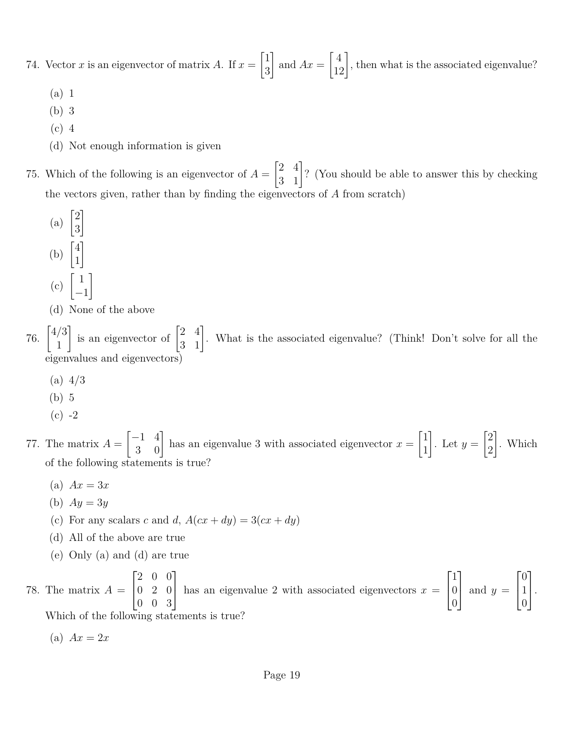74. Vector *x* is an eigenvector of matrix *A*. If  $x =$  $\lceil 1 \rceil$ 3 1 and  $Ax =$  $\begin{bmatrix} 4 \\ 12 \end{bmatrix}$ , then what is the associated eigenvalue?

- (a) 1
- (b) 3
- (c) 4
- (d) Not enough information is given
- 75. Which of the following is an eigenvector of  $A =$  $\begin{bmatrix} 2 & 4 \\ 3 & 1 \end{bmatrix}$ ? (You should be able to answer this by checking the vectors given, rather than by finding the eigenvectors of *A* from scratch)
	- (a)  $\begin{bmatrix} 2 \\ 2 \end{bmatrix}$ 3 1 (b)  $\begin{bmatrix} 4 \\ 1 \end{bmatrix}$ 1 1  $(c)$   $\begin{bmatrix} 1 \end{bmatrix}$ −1 1
	- (d) None of the above

76.  $\begin{bmatrix} 4/3 \\ 1 \end{bmatrix}$ 1 is an eigenvector of  $\begin{bmatrix} 2 & 4 \\ 3 & 1 \end{bmatrix}$ . What is the associated eigenvalue? (Think! Don't solve for all the eigenvalues and eigenvectors)

- $(a)$  4/3
- (b) 5
- $(c) -2$

77. The matrix  $A =$  $\begin{bmatrix} -1 & 4 \\ 3 & 0 \end{bmatrix}$  has an eigenvalue 3 with associated eigenvector  $x =$  $\lceil 1 \rceil$ 1 1 . Let  $y =$  $\lceil 2 \rceil$ 2 1 . Which of the following statements is true?

- (a)  $Ax = 3x$
- (b) *Ay* = 3*y*
- (c) For any scalars *c* and *d*,  $A(cx + dy) = 3(cx + dy)$
- (d) All of the above are true
- (e) Only (a) and (d) are true

78. The matrix  $A =$  $\sqrt{ }$  $\overline{1}$ 2 0 0 0 2 0 0 0 3 1 has an eigenvalue 2 with associated eigenvectors  $x =$  $\sqrt{ }$  $\overline{\phantom{a}}$ 1 0 0 1 | and  $y =$  $\sqrt{ }$  $\overline{1}$  $\overline{0}$ 1 0 1  $\vert \cdot$ Which of the following statements is true?

 $f(a) Ax = 2x$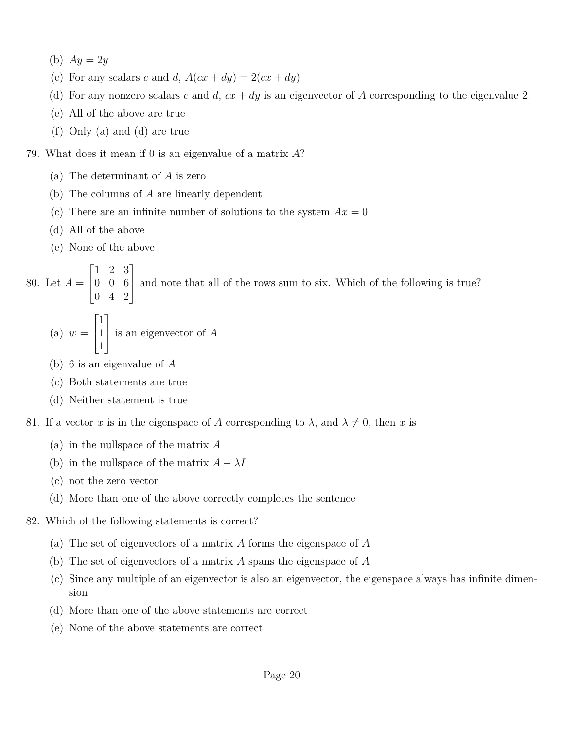- (b)  $Ay = 2y$
- (c) For any scalars *c* and *d*,  $A(cx + dy) = 2(cx + dy)$
- (d) For any nonzero scalars *c* and *d*,  $cx + dy$  is an eigenvector of *A* corresponding to the eigenvalue 2.
- (e) All of the above are true
- (f) Only (a) and (d) are true

#### 79. What does it mean if 0 is an eigenvalue of a matrix *A*?

- (a) The determinant of *A* is zero
- (b) The columns of *A* are linearly dependent
- (c) There are an infinite number of solutions to the system  $Ax = 0$
- (d) All of the above
- (e) None of the above

80. Let *A* =  $\sqrt{ }$  $\overline{\phantom{a}}$ 1 2 3 0 0 6 0 4 2 1 and note that all of the rows sum to six. Which of the following is true?

(a) 
$$
w = \begin{bmatrix} 1 \\ 1 \\ 1 \end{bmatrix}
$$
 is an eigenvector of A

- (b) 6 is an eigenvalue of *A*
- (c) Both statements are true
- (d) Neither statement is true

81. If a vector *x* is in the eigenspace of *A* corresponding to  $\lambda$ , and  $\lambda \neq 0$ , then *x* is

- (a) in the nullspace of the matrix *A*
- (b) in the nullspace of the matrix  $A \lambda I$
- (c) not the zero vector
- (d) More than one of the above correctly completes the sentence
- 82. Which of the following statements is correct?
	- (a) The set of eigenvectors of a matrix *A* forms the eigenspace of *A*
	- (b) The set of eigenvectors of a matrix *A* spans the eigenspace of *A*
	- (c) Since any multiple of an eigenvector is also an eigenvector, the eigenspace always has infinite dimension
	- (d) More than one of the above statements are correct
	- (e) None of the above statements are correct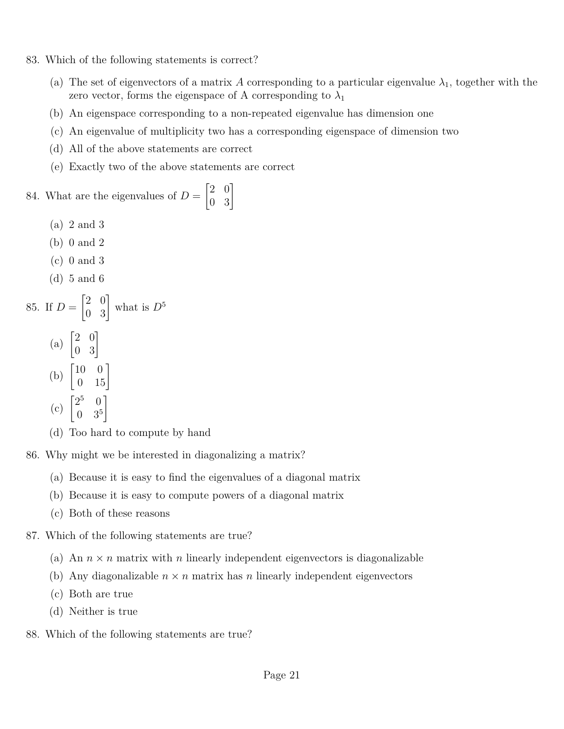- 83. Which of the following statements is correct?
	- (a) The set of eigenvectors of a matrix *A* corresponding to a particular eigenvalue  $\lambda_1$ , together with the zero vector, forms the eigenspace of A corresponding to  $\lambda_1$
	- (b) An eigenspace corresponding to a non-repeated eigenvalue has dimension one
	- (c) An eigenvalue of multiplicity two has a corresponding eigenspace of dimension two
	- (d) All of the above statements are correct
	- (e) Exactly two of the above statements are correct

### 84. What are the eigenvalues of  $D =$  $\begin{bmatrix} 2 & 0 \\ 0 & 3 \end{bmatrix}$

- (a) 2 and 3
- (b) 0 and 2
- (c) 0 and 3
- (d) 5 and 6

85. If 
$$
D = \begin{bmatrix} 2 & 0 \\ 0 & 3 \end{bmatrix}
$$
 what is  $D^5$   
(a)  $\begin{bmatrix} 2 & 0 \\ 0 & 3 \end{bmatrix}$ 

(b)  $\begin{bmatrix} 10 & 0 \\ 0 & 15 \end{bmatrix}$ 1

$$
(c) \begin{bmatrix} 2^5 & 0 \\ 0 & 3^5 \end{bmatrix}
$$

(d) Too hard to compute by hand

86. Why might we be interested in diagonalizing a matrix?

- (a) Because it is easy to find the eigenvalues of a diagonal matrix
- (b) Because it is easy to compute powers of a diagonal matrix
- (c) Both of these reasons
- 87. Which of the following statements are true?
	- (a) An  $n \times n$  matrix with *n* linearly independent eigenvectors is diagonalizable
	- (b) Any diagonalizable  $n \times n$  matrix has *n* linearly independent eigenvectors
	- (c) Both are true
	- (d) Neither is true
- 88. Which of the following statements are true?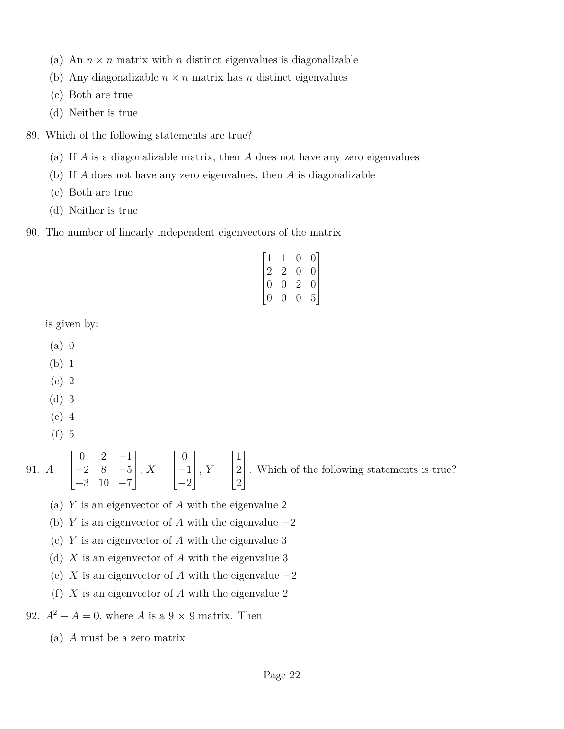- (a) An  $n \times n$  matrix with *n* distinct eigenvalues is diagonalizable
- (b) Any diagonalizable  $n \times n$  matrix has *n* distinct eigenvalues
- (c) Both are true
- (d) Neither is true
- 89. Which of the following statements are true?
	- (a) If *A* is a diagonalizable matrix, then *A* does not have any zero eigenvalues
	- (b) If *A* does not have any zero eigenvalues, then *A* is diagonalizable
	- (c) Both are true
	- (d) Neither is true
- 90. The number of linearly independent eigenvectors of the matrix

| $\vert$ 1      | 1              | 0              | 0                                      |
|----------------|----------------|----------------|----------------------------------------|
| $\mid$ 2       | 2              | $\overline{0}$ | $\vert$                                |
| $\overline{0}$ | $\overline{0}$ | $\overline{2}$ | $\begin{bmatrix} 0 \\ 5 \end{bmatrix}$ |
| 0              | 0              | 0              |                                        |

is given by:

- (a) 0
- (b) 1
- (c) 2
- (d) 3
- (e) 4
- (f) 5

91.  $A =$  $\sqrt{ }$  $\overline{1}$  $0 \t 2 \t -1$  $-2$  8  $-5$ −3 10 −7 1  $\Big\vert$ ,  $X =$  $\sqrt{ }$  $\overline{1}$  $\overline{0}$ −1 −2 1  $\Big\vert$ ,  $Y=$  $\sqrt{ }$  $\overline{1}$ 1 2 2 1 . Which of the following statements is true?

- (a) *Y* is an eigenvector of *A* with the eigenvalue 2
- (b) *Y* is an eigenvector of *A* with the eigenvalue  $-2$
- (c) *Y* is an eigenvector of *A* with the eigenvalue 3
- (d) *X* is an eigenvector of *A* with the eigenvalue 3
- (e) *X* is an eigenvector of *A* with the eigenvalue  $-2$
- (f) *X* is an eigenvector of *A* with the eigenvalue 2

## 92.  $A^2 - A = 0$ , where *A* is a 9 × 9 matrix. Then

(a) *A* must be a zero matrix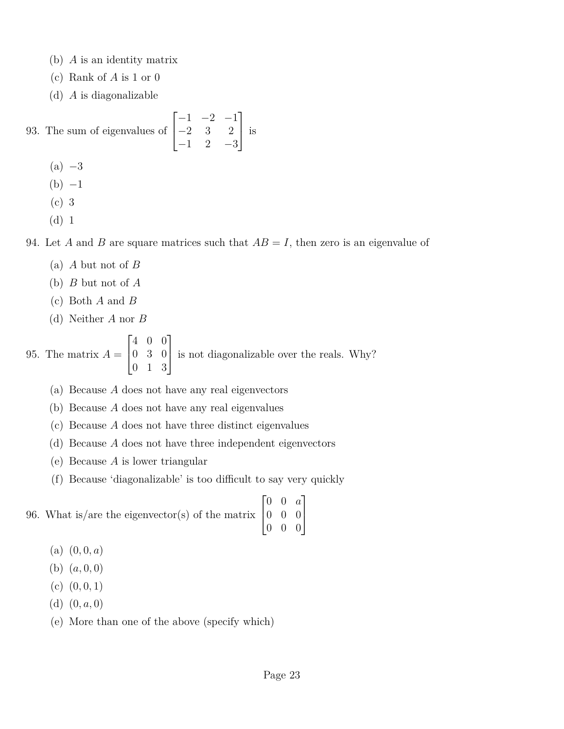- (b) *A* is an identity matrix
- (c) Rank of *A* is 1 or 0
- (d) *A* is diagonalizable

93. The sum of eigenvalues of 
$$
\begin{bmatrix} -1 & -2 & -1 \ -2 & 3 & 2 \ -1 & 2 & -3 \end{bmatrix}
$$
 is  
\n(a) -3  
\n(b) -1

- (c) 3
- (d) 1

94. Let *A* and *B* are square matrices such that  $AB = I$ , then zero is an eigenvalue of

- (a) *A* but not of *B*
- (b) *B* but not of *A*
- (c) Both *A* and *B*
- (d) Neither *A* nor *B*

95. The matrix  $A =$  $\sqrt{ }$  $\overline{1}$ 4 0 0 0 3 0 0 1 3 1 is not diagonalizable over the reals. Why?

- (a) Because *A* does not have any real eigenvectors
- (b) Because *A* does not have any real eigenvalues
- (c) Because *A* does not have three distinct eigenvalues
- (d) Because *A* does not have three independent eigenvectors
- (e) Because *A* is lower triangular
- (f) Because 'diagonalizable' is too difficult to say very quickly

96. What is/are the eigenvector(s) of the matrix  $\sqrt{ }$  $\vert$ 0 0 *a* 0 0 0 0 0 0 1  $\frac{1}{2}$ 

- $(a)$   $(0,0,a)$
- (b)  $(a, 0, 0)$
- $(c)$   $(0, 0, 1)$
- (d) (0*, a,* 0)
- (e) More than one of the above (specify which)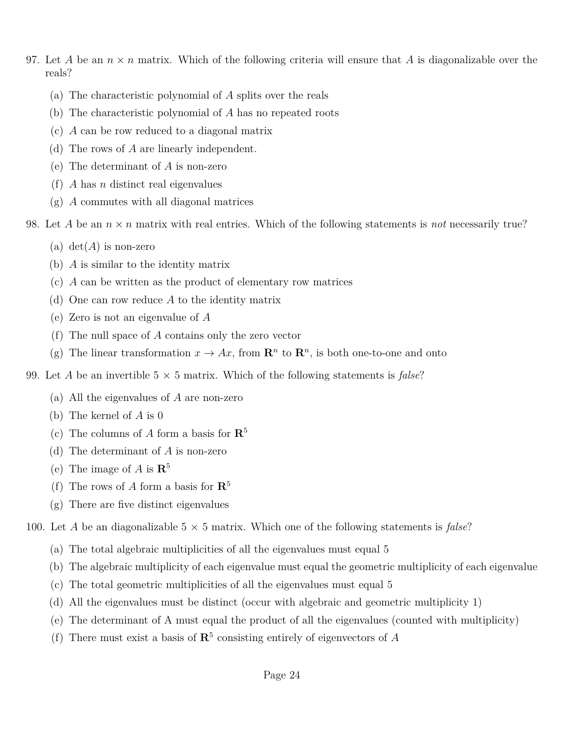- 97. Let A be an  $n \times n$  matrix. Which of the following criteria will ensure that A is diagonalizable over the reals?
	- (a) The characteristic polynomial of *A* splits over the reals
	- (b) The characteristic polynomial of *A* has no repeated roots
	- (c) *A* can be row reduced to a diagonal matrix
	- (d) The rows of *A* are linearly independent.
	- (e) The determinant of *A* is non-zero
	- (f) *A* has *n* distinct real eigenvalues
	- (g) *A* commutes with all diagonal matrices
- 98. Let *A* be an *n* × *n* matrix with real entries. Which of the following statements is *not* necessarily true?
	- (a)  $det(A)$  is non-zero
	- (b) *A* is similar to the identity matrix
	- (c) *A* can be written as the product of elementary row matrices
	- (d) One can row reduce *A* to the identity matrix
	- (e) Zero is not an eigenvalue of *A*
	- (f) The null space of *A* contains only the zero vector
	- (g) The linear transformation  $x \to Ax$ , from  $\mathbb{R}^n$  to  $\mathbb{R}^n$ , is both one-to-one and onto
- 99. Let *A* be an invertible  $5 \times 5$  matrix. Which of the following statements is *false*?
	- (a) All the eigenvalues of *A* are non-zero
	- (b) The kernel of *A* is 0
	- (c) The columns of *A* form a basis for **R**<sup>5</sup>
	- (d) The determinant of *A* is non-zero
	- (e) The image of  $A$  is  $\mathbb{R}^5$
	- (f) The rows of *A* form a basis for **R**<sup>5</sup>
	- (g) There are five distinct eigenvalues

100. Let *A* be an diagonalizable  $5 \times 5$  matrix. Which one of the following statements is *false*?

- (a) The total algebraic multiplicities of all the eigenvalues must equal 5
- (b) The algebraic multiplicity of each eigenvalue must equal the geometric multiplicity of each eigenvalue
- (c) The total geometric multiplicities of all the eigenvalues must equal 5
- (d) All the eigenvalues must be distinct (occur with algebraic and geometric multiplicity 1)
- (e) The determinant of A must equal the product of all the eigenvalues (counted with multiplicity)
- (f) There must exist a basis of  $\mathbb{R}^5$  consisting entirely of eigenvectors of *A*